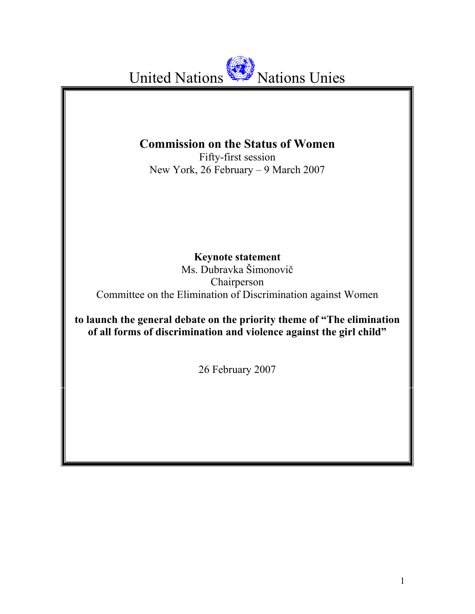United Nations **Nations** Unies

# **Commission on the Status of Women**

Fifty-first session New York, 26 February – 9 March 2007

**Keynote statement** 

Ms. Dubravka Šimonovič Chairperson Committee on the Elimination of Discrimination against Women

**to launch the general debate on the priority theme of "The elimination of all forms of discrimination and violence against the girl child"** 

26 February 2007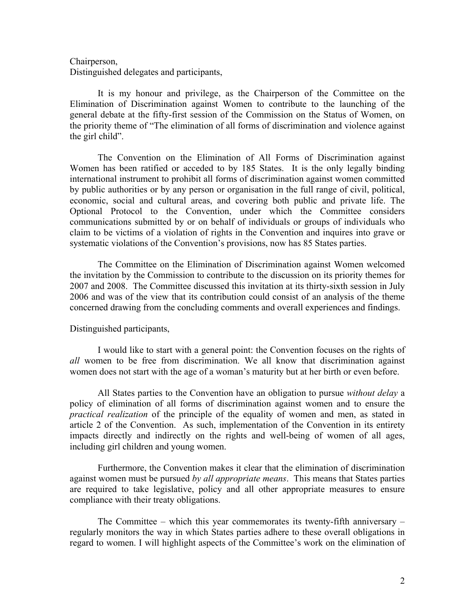## Chairperson,

Distinguished delegates and participants,

It is my honour and privilege, as the Chairperson of the Committee on the Elimination of Discrimination against Women to contribute to the launching of the general debate at the fifty-first session of the Commission on the Status of Women, on the priority theme of "The elimination of all forms of discrimination and violence against the girl child".

The Convention on the Elimination of All Forms of Discrimination against Women has been ratified or acceded to by 185 States. It is the only legally binding international instrument to prohibit all forms of discrimination against women committed by public authorities or by any person or organisation in the full range of civil, political, economic, social and cultural areas, and covering both public and private life. The Optional Protocol to the Convention, under which the Committee considers communications submitted by or on behalf of individuals or groups of individuals who claim to be victims of a violation of rights in the Convention and inquires into grave or systematic violations of the Convention's provisions, now has 85 States parties.

The Committee on the Elimination of Discrimination against Women welcomed the invitation by the Commission to contribute to the discussion on its priority themes for 2007 and 2008. The Committee discussed this invitation at its thirty-sixth session in July 2006 and was of the view that its contribution could consist of an analysis of the theme concerned drawing from the concluding comments and overall experiences and findings.

#### Distinguished participants,

I would like to start with a general point: the Convention focuses on the rights of *all* women to be free from discrimination. We all know that discrimination against women does not start with the age of a woman's maturity but at her birth or even before.

All States parties to the Convention have an obligation to pursue *without delay* a policy of elimination of all forms of discrimination against women and to ensure the *practical realization* of the principle of the equality of women and men, as stated in article 2 of the Convention. As such, implementation of the Convention in its entirety impacts directly and indirectly on the rights and well-being of women of all ages, including girl children and young women.

Furthermore, the Convention makes it clear that the elimination of discrimination against women must be pursued *by all appropriate means*. This means that States parties are required to take legislative, policy and all other appropriate measures to ensure compliance with their treaty obligations.

The Committee – which this year commemorates its twenty-fifth anniversary – regularly monitors the way in which States parties adhere to these overall obligations in regard to women. I will highlight aspects of the Committee's work on the elimination of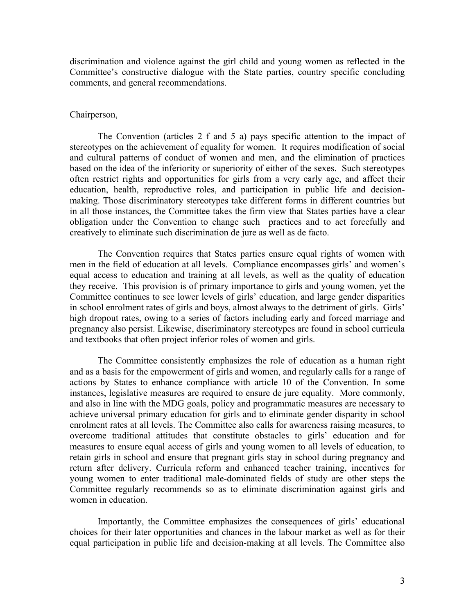discrimination and violence against the girl child and young women as reflected in the Committee's constructive dialogue with the State parties, country specific concluding comments, and general recommendations.

#### Chairperson,

The Convention (articles 2 f and 5 a) pays specific attention to the impact of stereotypes on the achievement of equality for women. It requires modification of social and cultural patterns of conduct of women and men, and the elimination of practices based on the idea of the inferiority or superiority of either of the sexes. Such stereotypes often restrict rights and opportunities for girls from a very early age, and affect their education, health, reproductive roles, and participation in public life and decisionmaking. Those discriminatory stereotypes take different forms in different countries but in all those instances, the Committee takes the firm view that States parties have a clear obligation under the Convention to change such practices and to act forcefully and creatively to eliminate such discrimination de jure as well as de facto.

The Convention requires that States parties ensure equal rights of women with men in the field of education at all levels. Compliance encompasses girls' and women's equal access to education and training at all levels, as well as the quality of education they receive. This provision is of primary importance to girls and young women, yet the Committee continues to see lower levels of girls' education, and large gender disparities in school enrolment rates of girls and boys, almost always to the detriment of girls. Girls' high dropout rates, owing to a series of factors including early and forced marriage and pregnancy also persist. Likewise, discriminatory stereotypes are found in school curricula and textbooks that often project inferior roles of women and girls.

The Committee consistently emphasizes the role of education as a human right and as a basis for the empowerment of girls and women, and regularly calls for a range of actions by States to enhance compliance with article 10 of the Convention. In some instances, legislative measures are required to ensure de jure equality. More commonly, and also in line with the MDG goals, policy and programmatic measures are necessary to achieve universal primary education for girls and to eliminate gender disparity in school enrolment rates at all levels. The Committee also calls for awareness raising measures, to overcome traditional attitudes that constitute obstacles to girls' education and for measures to ensure equal access of girls and young women to all levels of education, to retain girls in school and ensure that pregnant girls stay in school during pregnancy and return after delivery. Curricula reform and enhanced teacher training, incentives for young women to enter traditional male-dominated fields of study are other steps the Committee regularly recommends so as to eliminate discrimination against girls and women in education.

Importantly, the Committee emphasizes the consequences of girls' educational choices for their later opportunities and chances in the labour market as well as for their equal participation in public life and decision-making at all levels. The Committee also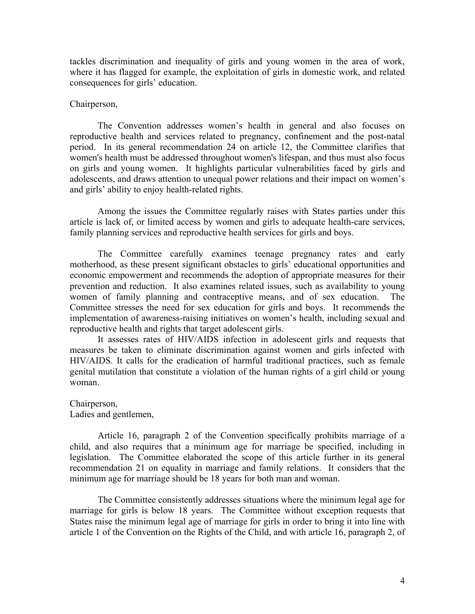tackles discrimination and inequality of girls and young women in the area of work, where it has flagged for example, the exploitation of girls in domestic work, and related consequences for girls' education.

#### Chairperson,

The Convention addresses women's health in general and also focuses on reproductive health and services related to pregnancy, confinement and the post-natal period. In its general recommendation 24 on article 12, the Committee clarifies that women's health must be addressed throughout women's lifespan, and thus must also focus on girls and young women. It highlights particular vulnerabilities faced by girls and adolescents, and draws attention to unequal power relations and their impact on women's and girls' ability to enjoy health-related rights.

Among the issues the Committee regularly raises with States parties under this article is lack of, or limited access by women and girls to adequate health-care services, family planning services and reproductive health services for girls and boys.

The Committee carefully examines teenage pregnancy rates and early motherhood, as these present significant obstacles to girls' educational opportunities and economic empowerment and recommends the adoption of appropriate measures for their prevention and reduction. It also examines related issues, such as availability to young women of family planning and contraceptive means, and of sex education. The Committee stresses the need for sex education for girls and boys. It recommends the implementation of awareness-raising initiatives on women's health, including sexual and reproductive health and rights that target adolescent girls.

It assesses rates of HIV/AIDS infection in adolescent girls and requests that measures be taken to eliminate discrimination against women and girls infected with HIV/AIDS. It calls for the eradication of harmful traditional practices, such as female genital mutilation that constitute a violation of the human rights of a girl child or young woman.

Chairperson, Ladies and gentlemen,

Article 16, paragraph 2 of the Convention specifically prohibits marriage of a child, and also requires that a minimum age for marriage be specified, including in legislation. The Committee elaborated the scope of this article further in its general recommendation 21 on equality in marriage and family relations. It considers that the minimum age for marriage should be 18 years for both man and woman.

The Committee consistently addresses situations where the minimum legal age for marriage for girls is below 18 years. The Committee without exception requests that States raise the minimum legal age of marriage for girls in order to bring it into line with article 1 of the Convention on the Rights of the Child, and with article 16, paragraph 2, of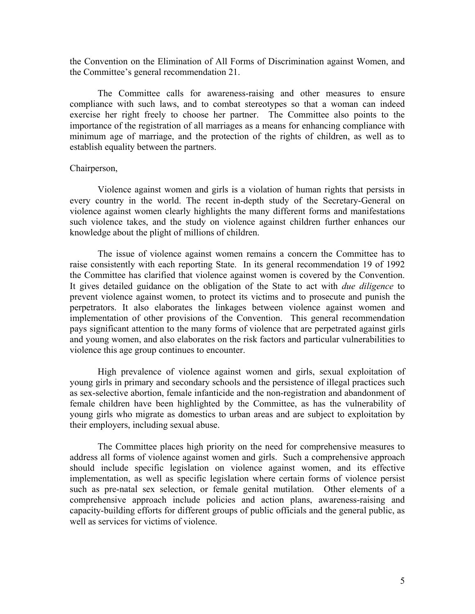the Convention on the Elimination of All Forms of Discrimination against Women, and the Committee's general recommendation 21.

The Committee calls for awareness-raising and other measures to ensure compliance with such laws, and to combat stereotypes so that a woman can indeed exercise her right freely to choose her partner. The Committee also points to the importance of the registration of all marriages as a means for enhancing compliance with minimum age of marriage, and the protection of the rights of children, as well as to establish equality between the partners.

### Chairperson,

Violence against women and girls is a violation of human rights that persists in every country in the world. The recent in-depth study of the Secretary-General on violence against women clearly highlights the many different forms and manifestations such violence takes, and the study on violence against children further enhances our knowledge about the plight of millions of children.

The issue of violence against women remains a concern the Committee has to raise consistently with each reporting State. In its general recommendation 19 of 1992 the Committee has clarified that violence against women is covered by the Convention. It gives detailed guidance on the obligation of the State to act with *due diligence* to prevent violence against women, to protect its victims and to prosecute and punish the perpetrators. It also elaborates the linkages between violence against women and implementation of other provisions of the Convention. This general recommendation pays significant attention to the many forms of violence that are perpetrated against girls and young women, and also elaborates on the risk factors and particular vulnerabilities to violence this age group continues to encounter.

High prevalence of violence against women and girls, sexual exploitation of young girls in primary and secondary schools and the persistence of illegal practices such as sex-selective abortion, female infanticide and the non-registration and abandonment of female children have been highlighted by the Committee, as has the vulnerability of young girls who migrate as domestics to urban areas and are subject to exploitation by their employers, including sexual abuse.

The Committee places high priority on the need for comprehensive measures to address all forms of violence against women and girls. Such a comprehensive approach should include specific legislation on violence against women, and its effective implementation, as well as specific legislation where certain forms of violence persist such as pre-natal sex selection, or female genital mutilation. Other elements of a comprehensive approach include policies and action plans, awareness-raising and capacity-building efforts for different groups of public officials and the general public, as well as services for victims of violence.